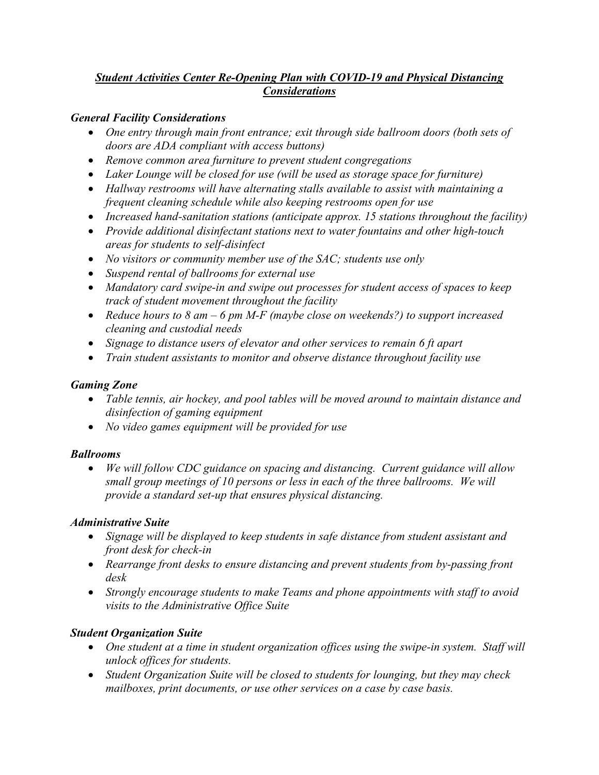## *Student Activities Center Re-Opening Plan with COVID-19 and Physical Distancing Considerations*

### *General Facility Considerations*

- *One entry through main front entrance; exit through side ballroom doors (both sets of doors are ADA compliant with access buttons)*
- *Remove common area furniture to prevent student congregations*
- *Laker Lounge will be closed for use (will be used as storage space for furniture)*
- *Hallway restrooms will have alternating stalls available to assist with maintaining a frequent cleaning schedule while also keeping restrooms open for use*
- *Increased hand-sanitation stations (anticipate approx. 15 stations throughout the facility)*
- *Provide additional disinfectant stations next to water fountains and other high-touch areas for students to self-disinfect*
- *No visitors or community member use of the SAC; students use only*
- *Suspend rental of ballrooms for external use*
- *Mandatory card swipe-in and swipe out processes for student access of spaces to keep track of student movement throughout the facility*
- *Reduce hours to 8 am – 6 pm M-F (maybe close on weekends?) to support increased cleaning and custodial needs*
- *Signage to distance users of elevator and other services to remain 6 ft apart*
- *Train student assistants to monitor and observe distance throughout facility use*

## *Gaming Zone*

- *Table tennis, air hockey, and pool tables will be moved around to maintain distance and disinfection of gaming equipment*
- *No video games equipment will be provided for use*

## *Ballrooms*

 *We will follow CDC guidance on spacing and distancing. Current guidance will allow small group meetings of 10 persons or less in each of the three ballrooms. We will provide a standard set-up that ensures physical distancing.*

## *Administrative Suite*

- *Signage will be displayed to keep students in safe distance from student assistant and front desk for check-in*
- *Rearrange front desks to ensure distancing and prevent students from by-passing front desk*
- *Strongly encourage students to make Teams and phone appointments with staff to avoid visits to the Administrative Office Suite*

# *Student Organization Suite*

- *One student at a time in student organization offices using the swipe-in system. Staff will unlock offices for students.*
- *Student Organization Suite will be closed to students for lounging, but they may check mailboxes, print documents, or use other services on a case by case basis.*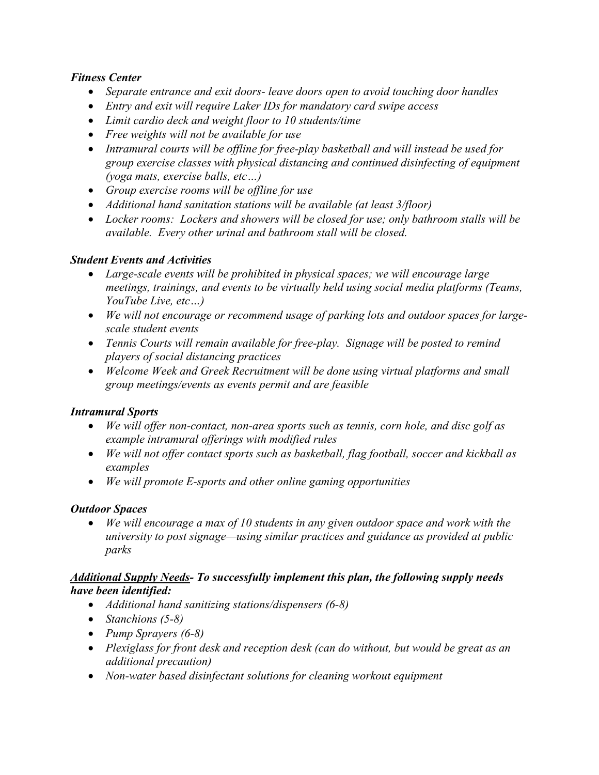### *Fitness Center*

- *Separate entrance and exit doors- leave doors open to avoid touching door handles*
- *Entry and exit will require Laker IDs for mandatory card swipe access*
- *Limit cardio deck and weight floor to 10 students/time*
- *Free weights will not be available for use*
- *Intramural courts will be offline for free-play basketball and will instead be used for group exercise classes with physical distancing and continued disinfecting of equipment (yoga mats, exercise balls, etc…)*
- *Group exercise rooms will be offline for use*
- *Additional hand sanitation stations will be available (at least 3/floor)*
- *Locker rooms: Lockers and showers will be closed for use; only bathroom stalls will be available. Every other urinal and bathroom stall will be closed.*

#### *Student Events and Activities*

- *Large-scale events will be prohibited in physical spaces; we will encourage large meetings, trainings, and events to be virtually held using social media platforms (Teams, YouTube Live, etc…)*
- *We will not encourage or recommend usage of parking lots and outdoor spaces for largescale student events*
- *Tennis Courts will remain available for free-play. Signage will be posted to remind players of social distancing practices*
- *Welcome Week and Greek Recruitment will be done using virtual platforms and small group meetings/events as events permit and are feasible*

## *Intramural Sports*

- *We will offer non-contact, non-area sports such as tennis, corn hole, and disc golf as example intramural offerings with modified rules*
- *We will not offer contact sports such as basketball, flag football, soccer and kickball as examples*
- *We will promote E-sports and other online gaming opportunities*

## *Outdoor Spaces*

 *We will encourage a max of 10 students in any given outdoor space and work with the university to post signage—using similar practices and guidance as provided at public parks*

#### *Additional Supply Needs- To successfully implement this plan, the following supply needs have been identified:*

- *Additional hand sanitizing stations/dispensers (6-8)*
- *Stanchions (5-8)*
- *Pump Sprayers (6-8)*
- *Plexiglass for front desk and reception desk (can do without, but would be great as an additional precaution)*
- *Non-water based disinfectant solutions for cleaning workout equipment*